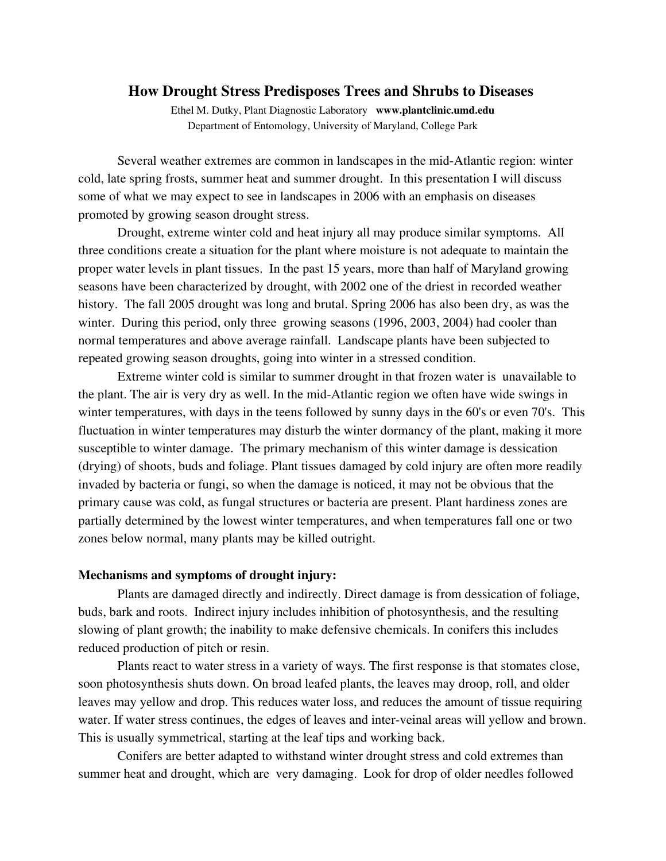### How Drought Stress Predisposes Trees and Shrubs to Diseases

Ethel M. Dutky, Plant Diagnostic Laboratory www.plantclinic.umd.edu Department of Entomology, University of Maryland, College Park

Several weather extremes are common in landscapes in the mid-Atlantic region: winter cold, late spring frosts, summer heat and summer drought. In this presentation I will discuss some of what we may expect to see in landscapes in 2006 with an emphasis on diseases promoted by growing season drought stress.

Drought, extreme winter cold and heat injury all may produce similar symptoms. All three conditions create a situation for the plant where moisture is not adequate to maintain the proper water levels in plant tissues. In the past 15 years, more than half of Maryland growing seasons have been characterized by drought, with 2002 one of the driest in recorded weather history. The fall 2005 drought was long and brutal. Spring 2006 has also been dry, as was the winter. During this period, only three growing seasons (1996, 2003, 2004) had cooler than normal temperatures and above average rainfall. Landscape plants have been subjected to repeated growing season droughts, going into winter in a stressed condition.

Extreme winter cold is similar to summer drought in that frozen water is unavailable to the plant. The air is very dry as well. In the mid-Atlantic region we often have wide swings in winter temperatures, with days in the teens followed by sunny days in the 60's or even 70's. This fluctuation in winter temperatures may disturb the winter dormancy of the plant, making it more susceptible to winter damage. The primary mechanism of this winter damage is dessication (drying) of shoots, buds and foliage. Plant tissues damaged by cold injury are often more readily invaded by bacteria or fungi, so when the damage is noticed, it may not be obvious that the primary cause was cold, as fungal structures or bacteria are present. Plant hardiness zones are partially determined by the lowest winter temperatures, and when temperatures fall one or two zones below normal, many plants may be killed outright.

#### Mechanisms and symptoms of drought injury:

Plants are damaged directly and indirectly. Direct damage is from dessication of foliage, buds, bark and roots. Indirect injury includes inhibition of photosynthesis, and the resulting slowing of plant growth; the inability to make defensive chemicals. In conifers this includes reduced production of pitch or resin.

Plants react to water stress in a variety of ways. The first response is that stomates close, soon photosynthesis shuts down. On broad leafed plants, the leaves may droop, roll, and older leaves may yellow and drop. This reduces water loss, and reduces the amount of tissue requiring water. If water stress continues, the edges of leaves and inter-veinal areas will yellow and brown. This is usually symmetrical, starting at the leaf tips and working back.

Conifers are better adapted to withstand winter drought stress and cold extremes than summer heat and drought, which are very damaging. Look for drop of older needles followed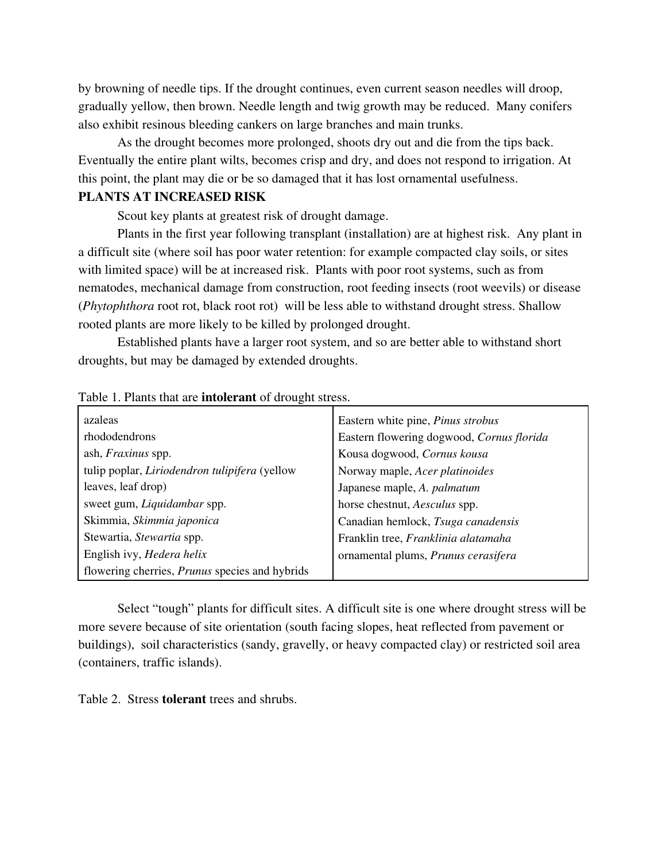by browning of needle tips. If the drought continues, even current season needles will droop, gradually yellow, then brown. Needle length and twig growth may be reduced. Many conifers also exhibit resinous bleeding cankers on large branches and main trunks.

As the drought becomes more prolonged, shoots dry out and die from the tips back. Eventually the entire plant wilts, becomes crisp and dry, and does not respond to irrigation. At this point, the plant may die or be so damaged that it has lost ornamental usefulness.

## PLANTS AT INCREASED RISK

Scout key plants at greatest risk of drought damage.

Plants in the first year following transplant (installation) are at highest risk. Any plant in a difficult site (where soil has poor water retention: for example compacted clay soils, or sites with limited space) will be at increased risk. Plants with poor root systems, such as from nematodes, mechanical damage from construction, root feeding insects (root weevils) or disease (*Phytophthora* root rot, black root rot) will be less able to withstand drought stress. Shallow rooted plants are more likely to be killed by prolonged drought.

Established plants have a larger root system, and so are better able to withstand short droughts, but may be damaged by extended droughts.

| azaleas                                               | Eastern white pine, <i>Pinus strobus</i>  |
|-------------------------------------------------------|-------------------------------------------|
| rhododendrons                                         | Eastern flowering dogwood, Cornus florida |
| ash, <i>Fraxinus</i> spp.                             | Kousa dogwood, Cornus kousa               |
| tulip poplar, Liriodendron tulipifera (yellow         | Norway maple, Acer platinoides            |
| leaves, leaf drop)                                    | Japanese maple, A. palmatum               |
| sweet gum, <i>Liquidambar</i> spp.                    | horse chestnut, Aesculus spp.             |
| Skimmia, Skimmia japonica                             | Canadian hemlock, Tsuga canadensis        |
| Stewartia, Stewartia spp.                             | Franklin tree, Franklinia alatamaha       |
| English ivy, Hedera helix                             | ornamental plums, Prunus cerasifera       |
| flowering cherries, <i>Prunus</i> species and hybrids |                                           |

#### Table 1. Plants that are **intolerant** of drought stress.

Select "tough" plants for difficult sites. A difficult site is one where drought stress will be more severe because of site orientation (south facing slopes, heat reflected from pavement or buildings), soil characteristics (sandy, gravelly, or heavy compacted clay) or restricted soil area (containers, traffic islands).

Table 2. Stress tolerant trees and shrubs.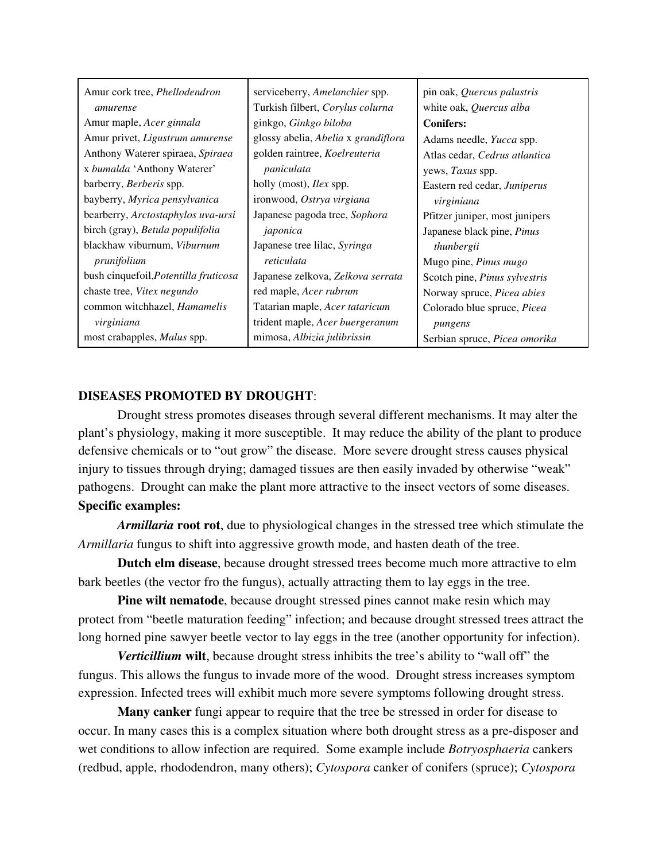| Amur cork tree, Phellodendron<br>amurense | serviceberry, Amelanchier spp.<br>Turkish filbert, Corylus colurna | pin oak, Quercus palustris<br>white oak, Quercus alba |
|-------------------------------------------|--------------------------------------------------------------------|-------------------------------------------------------|
| Amur maple, Acer ginnala                  | ginkgo, Ginkgo biloba                                              | <b>Conifers:</b>                                      |
| Amur privet, Ligustrum amurense           | glossy abelia, Abelia x grandiflora                                | Adams needle, Yucca spp.                              |
| Anthony Waterer spiraea, Spiraea          | golden raintree, Koelreuteria                                      | Atlas cedar, Cedrus atlantica                         |
| x bumalda 'Anthony Waterer'               | paniculata                                                         | yews, Taxus spp.                                      |
| barberry, <i>Berberis</i> spp.            | holly (most), <i>llex</i> spp.                                     | Eastern red cedar, <i>Juniperus</i>                   |
| bayberry, Myrica pensylvanica             | ironwood, Ostrya virgiana                                          | virginiana                                            |
| bearberry, <i>Arctostaphylos uva-ursi</i> | Japanese pagoda tree, Sophora                                      | Pfitzer juniper, most junipers                        |
| birch (gray), Betula populifolia          | japonica                                                           | Japanese black pine, Pinus                            |
| blackhaw viburnum, Viburnum               | Japanese tree lilac, Syringa                                       | thunbergii                                            |
| prunifolium                               | reticulata                                                         | Mugo pine, Pinus mugo                                 |
| bush cinquefoil, Potentilla fruticosa     | Japanese zelkova, Zelkova serrata                                  | Scotch pine, Pinus sylvestris                         |
| chaste tree, Vitex negundo                | red maple, <i>Acer rubrum</i>                                      | Norway spruce, <i>Picea abies</i>                     |
| common witchhazel, Hamamelis              | Tatarian maple, Acer tataricum                                     | Colorado blue spruce, Picea                           |
| virginiana                                | trident maple, Acer buergeranum                                    | pungens                                               |
| most crabapples, Malus spp.               | mimosa, Albizia julibrissin                                        | Serbian spruce, Picea omorika                         |

# DISEASES PROMOTED BY DROUGHT:

Drought stress promotes diseases through several different mechanisms. It may alter the plant's physiology, making it more susceptible. It may reduce the ability of the plant to produce defensive chemicals or to "out grow" the disease. More severe drought stress causes physical injury to tissues through drying; damaged tissues are then easily invaded by otherwise "weak" pathogens. Drought can make the plant more attractive to the insect vectors of some diseases. Specific examples:

*Armillaria* root rot, due to physiological changes in the stressed tree which stimulate the *Armillaria* fungus to shift into aggressive growth mode, and hasten death of the tree.

Dutch elm disease, because drought stressed trees become much more attractive to elm bark beetles (the vector fro the fungus), actually attracting them to lay eggs in the tree.

Pine wilt nematode, because drought stressed pines cannot make resin which may protect from "beetle maturation feeding" infection; and because drought stressed trees attract the long horned pine sawyer beetle vector to lay eggs in the tree (another opportunity for infection).

*Verticillium* wilt, because drought stress inhibits the tree's ability to "wall off" the fungus. This allows the fungus to invade more of the wood. Drought stress increases symptom expression. Infected trees will exhibit much more severe symptoms following drought stress.

Many canker fungi appear to require that the tree be stressed in order for disease to occur. In many cases this is a complex situation where both drought stress as a pre-disposer and wet conditions to allow infection are required. Some example include *Botryosphaeria* cankers (redbud, apple, rhododendron, many others); *Cytospora* canker of conifers (spruce); *Cytospora*